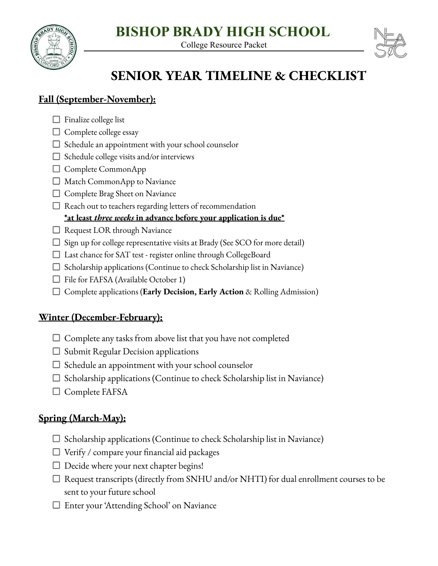# **BISHOP BRADY HIGH SCHOOL**

College Resource Packet





# **SENIOR YEAR TIMELINE & CHECKLIST**

### **Fall (September-November):**

- $\Box$  Finalize college list
- $\Box$  Complete college essay
- $\Box$  Schedule an appointment with your school counselor
- $\Box$  Schedule college visits and/or interviews
- □ Complete CommonApp
- □ Match CommonApp to Naviance
- □ Complete Brag Sheet on Naviance
- $\Box$  Reach out to teachers regarding letters of recommendation

### **\*at least** *three weeks* **in advance before your application is due\***

- $\Box$  Request LOR through Naviance
- $\Box$  Sign up for college representative visits at Brady (See SCO for more detail)
- Last chance for SAT test register online through CollegeBoard
- $\Box$  Scholarship applications (Continue to check Scholarship list in Naviance)
- $\Box$  File for FAFSA (Available October 1)
- Complete applications (**Early Decision, Early Action** & Rolling Admission)

# **Winter (December-February):**

- $\Box$  Complete any tasks from above list that you have not completed
- $\square$  Submit Regular Decision applications
- $\Box$  Schedule an appointment with your school counselor
- $\Box$  Scholarship applications (Continue to check Scholarship list in Naviance)
- $\Box$  Complete FAFSA

# **Spring (March-May):**

- $\Box$  Scholarship applications (Continue to check Scholarship list in Naviance)
- $\Box$  Verify / compare your financial aid packages
- $\Box$  Decide where your next chapter begins!
- $\Box$  Request transcripts (directly from SNHU and/or NHTI) for dual enrollment courses to be sent to your future school
- Enter your 'Attending School' on Naviance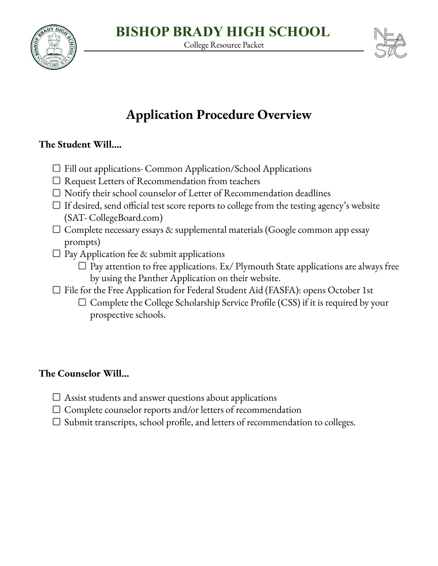

**BISHOP BRADY HIGH SCHOOL**

College Resource Packet

# **Application Procedure Overview**

### **The Student Will….**

- $\Box$  Fill out applications- Common Application/School Applications
- $\Box$  Request Letters of Recommendation from teachers
- $\Box$  Notify their school counselor of Letter of Recommendation deadlines
- $\Box$  If desired, send official test score reports to college from the testing agency's website (SAT- CollegeBoard.com)
- $\Box$  Complete necessary essays & supplemental materials (Google common app essay prompts)
- $\Box$  Pay Application fee & submit applications
	- $\Box$  Pay attention to free applications. Ex/ Plymouth State applications are always free by using the Panther Application on their website.
- □ File for the Free Application for Federal Student Aid (FASFA): opens October 1st
	- $\Box$  Complete the College Scholarship Service Profile (CSS) if it is required by your prospective schools.

### **The Counselor Will…**

- $\Box$  Assist students and answer questions about applications
- $\Box$  Complete counselor reports and/or letters of recommendation
- $\Box$  Submit transcripts, school profile, and letters of recommendation to colleges.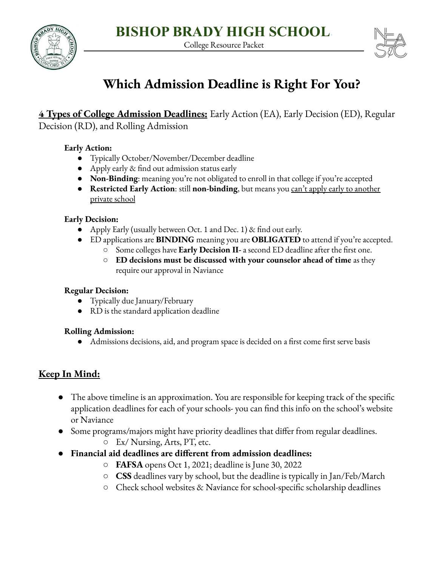College Resource Packet





# **Which Admission Deadline is Right For You?**

# **4 Types of College Admission Deadlines:** Early Action (EA), Early Decision (ED), Regular

Decision (RD), and Rolling Admission

#### **Early Action:**

- Typically October/November/December deadline
- Apply early & find out admission status early
- **● Non-Binding**: meaning you're not obligated to enroll in that college if you're accepted
- **● Restricted Early Action**: still **non-binding**, but means you can't apply early to another private school

#### **Early Decision:**

- **●** Apply Early (usually between Oct. 1 and Dec. 1) & find out early.
- **●** ED applications are **BINDING** meaning you are **OBLIGATED** to attend if you're accepted.
	- **○** Some colleges have **Early Decision II-** a second ED deadline after the first one.
	- **○ ED decisions must be discussed with your counselor ahead of time** as they require our approval in Naviance

#### **Regular Decision:**

- **●** Typically due January/February
- **●** RD is the standard application deadline

#### **Rolling Admission:**

● Admissions decisions, aid, and program space is decided on a first come first serve basis

# **Keep In Mind:**

- **●** The above timeline is an approximation. You are responsible for keeping track of the specific application deadlines for each of your schools- you can find this info on the school's website or Naviance
- Some programs/majors might have priority deadlines that differ from regular deadlines.
	- Ex/ Nursing, Arts, PT, etc.
- **● Financial aid deadlines are different from admission deadlines:**
	- **FAFSA** opens Oct 1, 2021; deadline is June 30, 2022
	- **○ CSS** deadlines vary by school, but the deadline is typically in Jan/Feb/March
	- Check school websites & Naviance for school-specific scholarship deadlines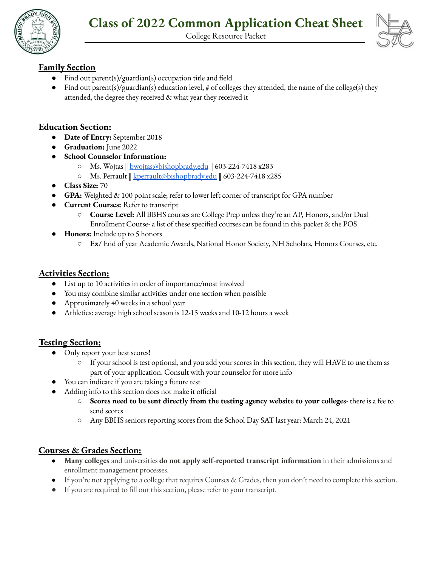

College Resource Packet

#### **Family Section**

- Find out parent(s)/guardian(s) occupation title and field
- Find out parent(s)/guardian(s) education level, # of colleges they attended, the name of the college(s) they attended, the degree they received & what year they received it

#### **Education Section:**

- **Date of Entry:** September 2018
- **● Graduation:** June 2022
- **● School Counselor Information:**
	- Ms. Wojtas ‖ [bwojtas@bishopbrady.edu](mailto:bwojtas@bishopbrady.edu) ‖ 603-224-7418 x283
	- Ms. Perrault ‖ [kperrault@bishopbrady.edu](mailto:kperrault@bishopbrady.edu) ‖ 603-224-7418 x285
- **● Class Size:** 70
- **GPA:** Weighted & 100 point scale; refer to lower left corner of transcript for GPA number
- **Current Courses:** Refer to transcript
	- **Course Level:** All BBHS courses are College Prep unless they're an AP, Honors, and/or Dual Enrollment Course- a list of these specified courses can be found in this packet & the POS
- **Honors:** Include up to 5 honors
	- **○ Ex/** End of year Academic Awards, National Honor Society, NH Scholars, Honors Courses, etc.

#### **Activities Section:**

- List up to 10 activities in order of importance/most involved
- You may combine similar activities under one section when possible
- Approximately 40 weeks in a school year
- Athletics: average high school season is 12-15 weeks and 10-12 hours a week

#### **Testing Section:**

- Only report your best scores!
	- If your school is test optional, and you add your scores in this section, they will HAVE to use them as part of your application. Consult with your counselor for more info
- You can indicate if you are taking a future test
- Adding info to this section does not make it official
	- **○ Scores need to be sent directly from the testing agency website to your colleges** there is a fee to send scores
	- Any BBHS seniors reporting scores from the School Day SAT last year: March 24, 2021

#### **Courses & Grades Section:**

- **Many colleges** and universities **do not apply self-reported transcript information** in their admissions and enrollment management processes.
- If you're not applying to a college that requires Courses & Grades, then you don't need to complete this section.
- If you are required to fill out this section, please refer to your transcript.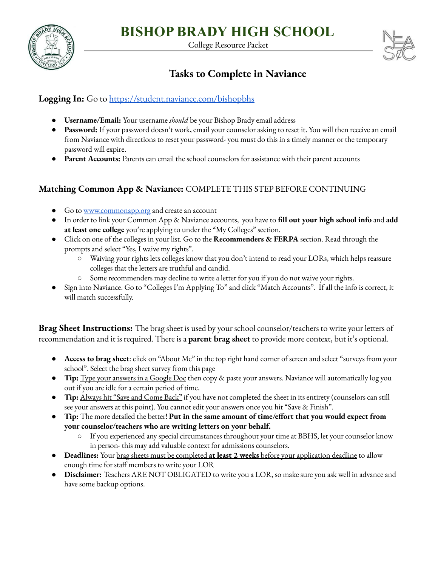

College Resource Packet



# **Tasks to Complete in Naviance**

#### **Logging In:** Go to <https://student.naviance.com/bishopbhs>

- **● Username/Email:** Your username *should* be your Bishop Brady email address
- **Password:** If your password doesn't work, email your counselor asking to reset it. You will then receive an email from Naviance with directions to reset your password- you must do this in a timely manner or the temporary password will expire.
- **● Parent Accounts:** Parents can email the school counselors for assistance with their parent accounts

#### **Matching Common App & Naviance:** COMPLETE THIS STEP BEFORE CONTINUING

- Go to [www.commonapp.org](http://www.commonapp.org) and create an account
- In order to link your Common App & Naviance accounts, you have to **fill out your high school info** and **add at least one college** you're applying to under the "My Colleges" section.
- Click on one of the colleges in your list. Go to the **Recommenders & FERPA** section. Read through the prompts and select "Yes, I waive my rights".
	- Waiving your rights lets colleges know that you don't intend to read your LORs, which helps reassure colleges that the letters are truthful and candid.
	- Some recommenders may decline to write a letter for you if you do not waive your rights.
- Sign into Naviance. Go to "Colleges I'm Applying To" and click "Match Accounts". If all the info is correct, it will match successfully.

**Brag Sheet Instructions:** The brag sheet is used by your school counselor/teachers to write your letters of recommendation and it is required. There is a **parent brag sheet** to provide more context, but it's optional.

- **Access to brag sheet**: click on "About Me" in the top right hand corner of screen and select "surveys from your school". Select the brag sheet survey from this page
- **Tip:** Type your answers in a Google Doc then copy & paste your answers. Naviance will automatically log you out if you are idle for a certain period of time.
- **Tip:** Always hit "Save and Come Back" if you have not completed the sheet in its entirety (counselors can still see your answers at this point). You cannot edit your answers once you hit "Save & Finish".
- **● Tip:** The more detailed the better! **Put in the same amount of time/effort that you would expect from your counselor/teachers who are writing letters on your behalf.**
	- If you experienced any special circumstances throughout your time at BBHS, let your counselor know in person- this may add valuable context for admissions counselors.
- **● Deadlines:** Your brag sheets must be completed **at least 2 weeks** before your application deadline to allow enough time for staff members to write your LOR
- **● Disclaimer:** Teachers ARE NOT OBLIGATED to write you a LOR, so make sure you ask well in advance and have some backup options.